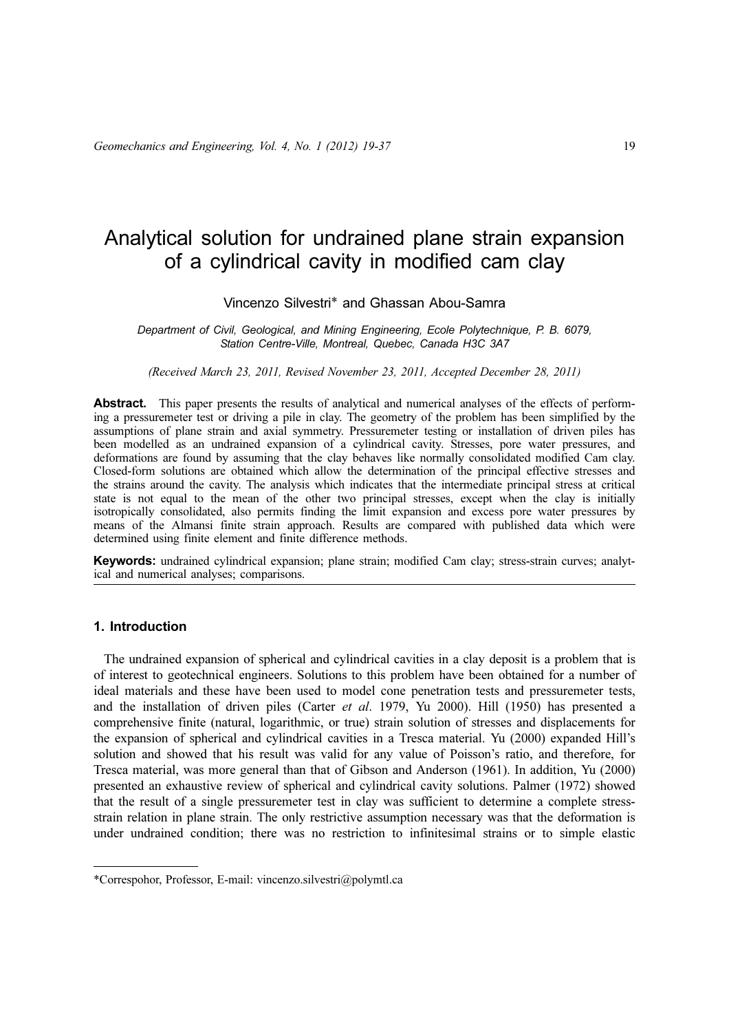# Vincenzo Silvestri\* and Ghassan Abou-Samra

Department of Civil, Geological, and Mining Engineering, Ecole Polytechnique, P. B. 6079, Station Centre-Ville, Montreal, Quebec, Canada H3C 3A7

(Received March 23, 2011, Revised November 23, 2011, Accepted December 28, 2011)

Abstract. This paper presents the results of analytical and numerical analyses of the effects of performing a pressuremeter test or driving a pile in clay. The geometry of the problem has been simplified by the assumptions of plane strain and axial symmetry. Pressuremeter testing or installation of driven piles has been modelled as an undrained expansion of a cylindrical cavity. Stresses, pore water pressures, and deformations are found by assuming that the clay behaves like normally consolidated modified Cam clay. Closed-form solutions are obtained which allow the determination of the principal effective stresses and the strains around the cavity. The analysis which indicates that the intermediate principal stress at critical state is not equal to the mean of the other two principal stresses, except when the clay is initially isotropically consolidated, also permits finding the limit expansion and excess pore water pressures by means of the Almansi finite strain approach. Results are compared with published data which were determined using finite element and finite difference methods.

Keywords: undrained cylindrical expansion; plane strain; modified Cam clay; stress-strain curves; analytical and numerical analyses; comparisons.

## 1. Introduction

The undrained expansion of spherical and cylindrical cavities in a clay deposit is a problem that is of interest to geotechnical engineers. Solutions to this problem have been obtained for a number of ideal materials and these have been used to model cone penetration tests and pressuremeter tests, and the installation of driven piles (Carter et al. 1979, Yu 2000). Hill (1950) has presented a comprehensive finite (natural, logarithmic, or true) strain solution of stresses and displacements for the expansion of spherical and cylindrical cavities in a Tresca material. Yu (2000) expanded Hill's solution and showed that his result was valid for any value of Poisson's ratio, and therefore, for Tresca material, was more general than that of Gibson and Anderson (1961). In addition, Yu (2000) presented an exhaustive review of spherical and cylindrical cavity solutions. Palmer (1972) showed that the result of a single pressuremeter test in clay was sufficient to determine a complete stressstrain relation in plane strain. The only restrictive assumption necessary was that the deformation is under undrained condition; there was no restriction to infinitesimal strains or to simple elastic

<sup>\*</sup>Correspohor, Professor, E-mail: vincenzo.silvestri@polymtl.ca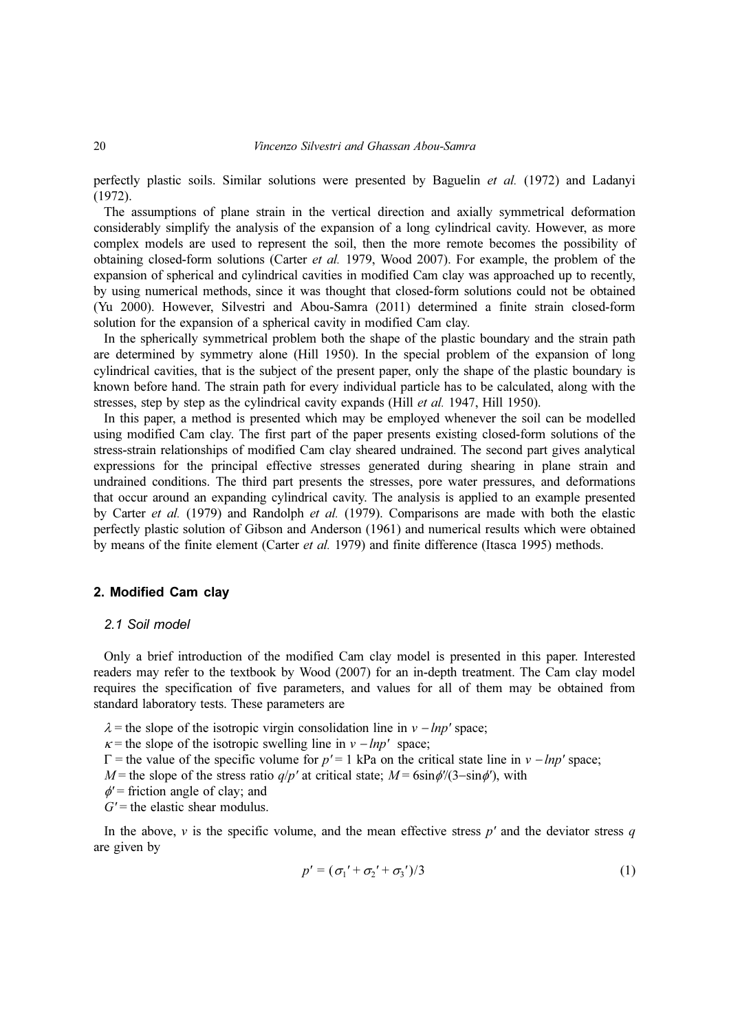perfectly plastic soils. Similar solutions were presented by Baguelin et al. (1972) and Ladanyi (1972).

The assumptions of plane strain in the vertical direction and axially symmetrical deformation considerably simplify the analysis of the expansion of a long cylindrical cavity. However, as more complex models are used to represent the soil, then the more remote becomes the possibility of obtaining closed-form solutions (Carter et al. 1979, Wood 2007). For example, the problem of the expansion of spherical and cylindrical cavities in modified Cam clay was approached up to recently, by using numerical methods, since it was thought that closed-form solutions could not be obtained (Yu 2000). However, Silvestri and Abou-Samra (2011) determined a finite strain closed-form solution for the expansion of a spherical cavity in modified Cam clay.

In the spherically symmetrical problem both the shape of the plastic boundary and the strain path are determined by symmetry alone (Hill 1950). In the special problem of the expansion of long cylindrical cavities, that is the subject of the present paper, only the shape of the plastic boundary is known before hand. The strain path for every individual particle has to be calculated, along with the stresses, step by step as the cylindrical cavity expands (Hill *et al.* 1947, Hill 1950).

In this paper, a method is presented which may be employed whenever the soil can be modelled using modified Cam clay. The first part of the paper presents existing closed-form solutions of the stress-strain relationships of modified Cam clay sheared undrained. The second part gives analytical expressions for the principal effective stresses generated during shearing in plane strain and undrained conditions. The third part presents the stresses, pore water pressures, and deformations that occur around an expanding cylindrical cavity. The analysis is applied to an example presented by Carter et al. (1979) and Randolph et al. (1979). Comparisons are made with both the elastic perfectly plastic solution of Gibson and Anderson (1961) and numerical results which were obtained by means of the finite element (Carter et al. 1979) and finite difference (Itasca 1995) methods.

## 2. Modified Cam clay

## 2.1 Soil model

Only a brief introduction of the modified Cam clay model is presented in this paper. Interested readers may refer to the textbook by Wood (2007) for an in-depth treatment. The Cam clay model requires the specification of five parameters, and values for all of them may be obtained from standard laboratory tests. These parameters are

 $\lambda$  = the slope of the isotropic virgin consolidation line in v − lnp' space;

 $\kappa$  = the slope of the isotropic swelling line in v − lnp' space;

 $\Gamma$  = the value of the specific volume for  $p' = 1$  kPa on the critical state line in  $v - lnp'$  space;

M = the slope of the stress ratio  $q/p'$  at critical state;  $M = 6\sin\phi/(3-\sin\phi')$ , with

- $\phi$ ' = friction angle of clay; and
- $G'$  = the elastic shear modulus.

In the above,  $\nu$  is the specific volume, and the mean effective stress  $p'$  and the deviator stress q are given by

$$
p' = (\sigma_1' + \sigma_2' + \sigma_3')/3 \tag{1}
$$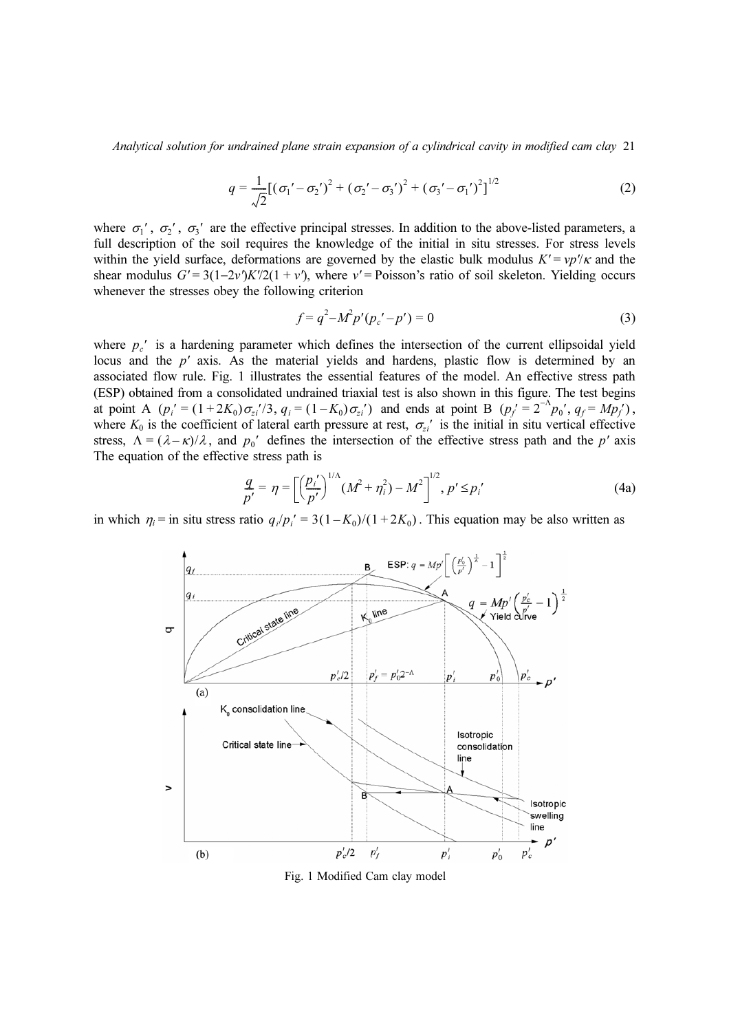$$
q = \frac{1}{\sqrt{2}} [(\sigma_1' - \sigma_2')^2 + (\sigma_2' - \sigma_3')^2 + (\sigma_3' - \sigma_1')^2]^{1/2}
$$
 (2)

where  $\sigma_1'$ ,  $\sigma_2'$ ,  $\sigma_3'$  are the effective principal stresses. In addition to the above-listed parameters, a full description of the soil requires the knowledge of the initial in situ stresses. For stress levels within the yield surface, deformations are governed by the elastic bulk modulus  $K' = vp'/\kappa$  and the shear modulus  $G' = 3(1-2\nu)K'/2(1+\nu)$ , where  $\nu' = \text{Poisson's ratio of soil skeleton. Yielding occurs}$ whenever the stresses obey the following criterion

$$
f = q^2 - M^2 p'(p_c' - p') = 0
$$
 (3)

where  $p_c'$  is a hardening parameter which defines the intersection of the current ellipsoidal yield locus and the p' axis. As the material yields and hardens, plastic flow is determined by an associated flow rule. Fig. 1 illustrates the essential features of the model. An effective stress path (ESP) obtained from a consolidated undrained triaxial test is also shown in this figure. The test begins at point A  $(p_i' = (1 + 2K_0)\sigma_{zi}/3$ ,  $q_i = (1 - K_0)\sigma_{zi}'$  and ends at point B  $(p_f' = 2^{-\Lambda}p_0', q_f = Mp'_f)$ , where  $K_0$  is the coefficient of lateral earth pressure at rest,  $\sigma_{zi}$ ' is the initial in situ vertical effective stress,  $\Lambda = (\lambda - \kappa)/\lambda$ , and  $p_0'$  defines the intersection of the effective stress path and the p' axis The equation of the effective stress path is

$$
\frac{q}{p'} = \eta = \left[ \left( \frac{p_i'}{p'} \right)^{1/\Lambda} (M^2 + \eta_i^2) - M^2 \right]^{1/2}, p' \le p_i'
$$
\n(4a)

in which  $\eta_i =$  in situ stress ratio  $q_i/p_i' = 3(1 - K_0)/(1 + 2K_0)$ . This equation may be also written as



Fig. 1 Modified Cam clay model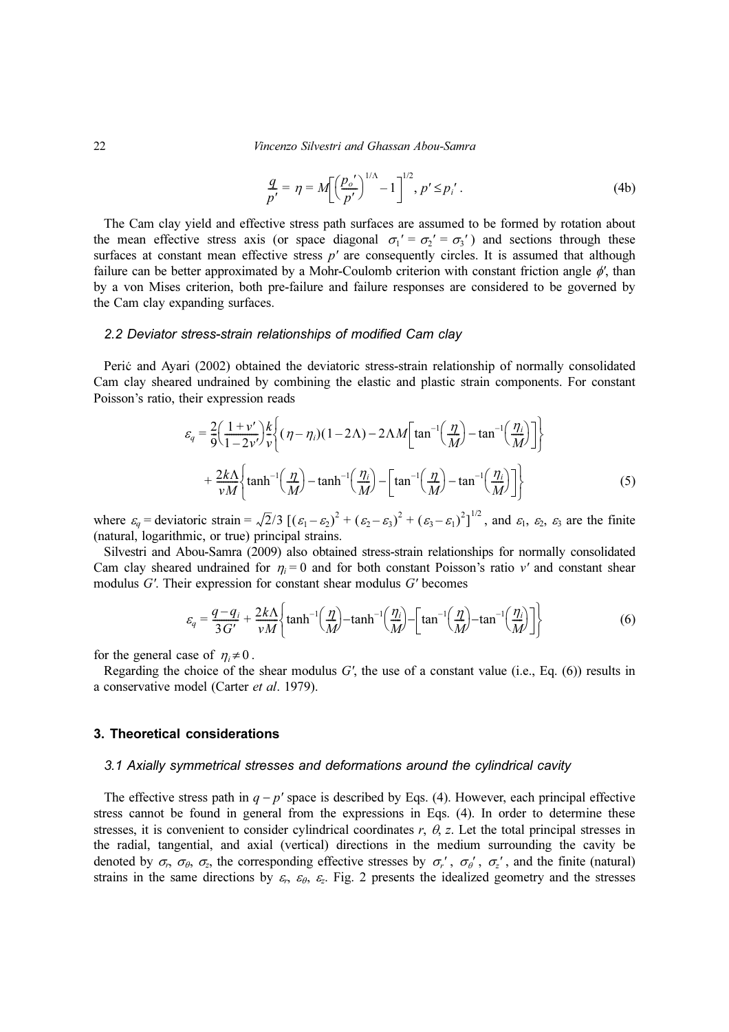$$
\frac{q}{p'} = \eta = M \left[ \left( \frac{p_o'}{p'} \right)^{1/\Lambda} - 1 \right]^{1/2}, \, p' \le p_i' \,.
$$
 (4b)

The Cam clay yield and effective stress path surfaces are assumed to be formed by rotation about the mean effective stress axis (or space diagonal  $\sigma_1' = \sigma_2' = \sigma_3'$ ) and sections through these surfaces at constant mean effective stress  $p'$  are consequently circles. It is assumed that although failure can be better approximated by a Mohr-Coulomb criterion with constant friction angle φ', than by a von Mises criterion, both pre-failure and failure responses are considered to be governed by the Cam clay expanding surfaces.

## 2.2 Deviator stress-strain relationships of modified Cam clay

Perić and Ayari (2002) obtained the deviatoric stress-strain relationship of normally consolidated Cam clay sheared undrained by combining the elastic and plastic strain components. For constant Poisson's ratio, their expression reads

$$
\varepsilon_{q} = \frac{2}{9} \left( \frac{1 + v'}{1 - 2v'} \right) \frac{k}{v} \left\{ (\eta - \eta_{i})(1 - 2\Lambda) - 2\Lambda M \left[ \tan^{-1} \left( \frac{\eta}{M} \right) - \tan^{-1} \left( \frac{\eta_{i}}{M} \right) \right] \right\}
$$

$$
+ \frac{2k\Lambda}{vM} \left\{ \tanh^{-1} \left( \frac{\eta}{M} \right) - \tanh^{-1} \left( \frac{\eta_{i}}{M} \right) - \left[ \tan^{-1} \left( \frac{\eta}{M} \right) - \tan^{-1} \left( \frac{\eta_{i}}{M} \right) \right] \right\}
$$
(5)

where  $\varepsilon_q$  = deviatoric strain =  $\sqrt{2}/3$   $[(\varepsilon_1 - \varepsilon_2)^2 + (\varepsilon_2 - \varepsilon_3)^2 + (\varepsilon_3 - \varepsilon_1)^2]^{1/2}$ , and  $\varepsilon_1$ ,  $\varepsilon_2$ ,  $\varepsilon_3$  are the finite (natural, logarithmic, or true) principal strains.

Silvestri and Abou-Samra (2009) also obtained stress-strain relationships for normally consolidated Cam clay sheared undrained for  $\eta_i = 0$  and for both constant Poisson's ratio v' and constant shear modulus G'. Their expression for constant shear modulus G' becomes

$$
\varepsilon_q = \frac{q - q_i}{3G'} + \frac{2k\Lambda}{vM} \left\{ \tanh^{-1}\left(\frac{\eta}{M}\right) - \tanh^{-1}\left(\frac{\eta_i}{M}\right) - \left[\tan^{-1}\left(\frac{\eta}{M}\right) - \tan^{-1}\left(\frac{\eta_i}{M}\right)\right] \right\} \tag{6}
$$

for the general case of  $\eta_i \neq 0$ .

Regarding the choice of the shear modulus  $G'$ , the use of a constant value (i.e., Eq. (6)) results in a conservative model (Carter et al. 1979).

## 3. Theoretical considerations

#### 3.1 Axially symmetrical stresses and deformations around the cylindrical cavity

The effective stress path in  $q - p'$  space is described by Eqs. (4). However, each principal effective stress cannot be found in general from the expressions in Eqs. (4). In order to determine these stresses, it is convenient to consider cylindrical coordinates r,  $\theta$ , z. Let the total principal stresses in the radial, tangential, and axial (vertical) directions in the medium surrounding the cavity be denoted by  $\sigma_r$ ,  $\sigma_\theta$ ,  $\sigma_z$ , the corresponding effective stresses by  $\sigma_r'$ ,  $\sigma_\theta'$ ,  $\sigma_z'$ , and the finite (natural) strains in the same directions by  $\varepsilon_r$ ,  $\varepsilon_\theta$ ,  $\varepsilon_z$ . Fig. 2 presents the idealized geometry and the stresses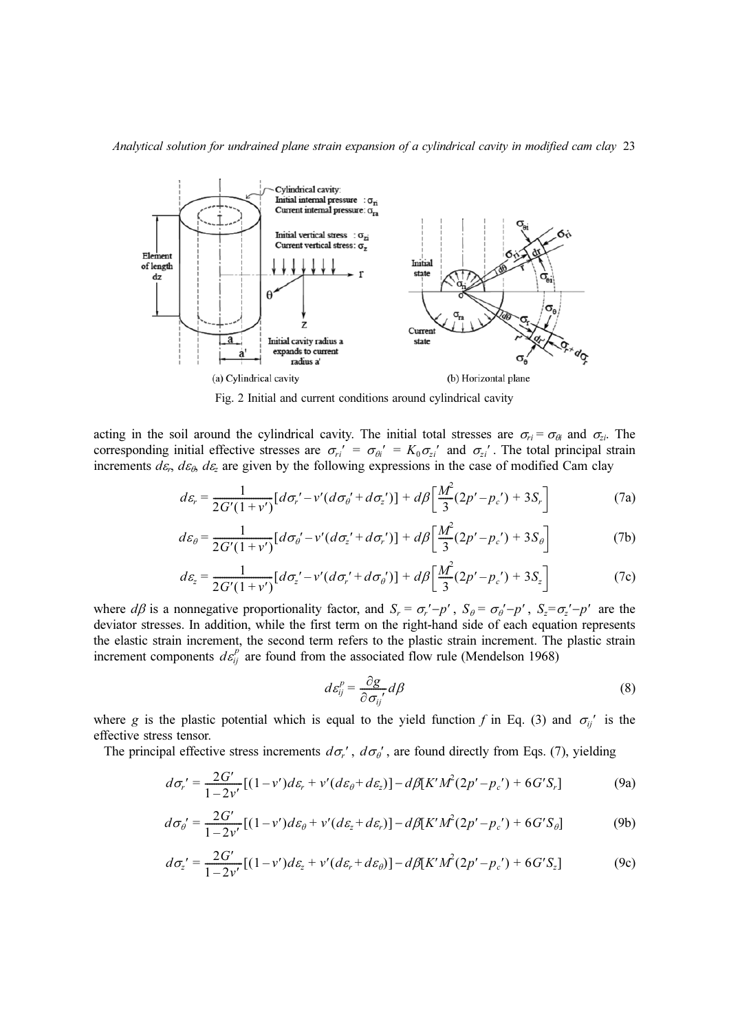

Fig. 2 Initial and current conditions around cylindrical cavity

acting in the soil around the cylindrical cavity. The initial total stresses are  $\sigma_{ri} = \sigma_{\theta i}$  and  $\sigma_{zi}$ . The corresponding initial effective stresses are  $\sigma_{ri}' = \sigma_{\theta i}' = K_0 \sigma_{zi}$  and  $\sigma_{zi}$ . The total principal strain increments  $d\varepsilon_r$ ,  $d\varepsilon_\theta$ ,  $d\varepsilon_z$  are given by the following expressions in the case of modified Cam clay

$$
d\varepsilon_r = \frac{1}{2G'(1+v')} [d\sigma_r' - v'(d\sigma_{\theta}'+d\sigma_{z}')] + d\beta \left[ \frac{M^2}{3} (2p'-p_{c}') + 3S_r \right]
$$
(7a)

$$
d\varepsilon_{\theta} = \frac{1}{2G'(1+v')}[d\sigma_{\theta}' - v'(d\sigma_{z}' + d\sigma_{r}')] + d\beta \left[ \frac{M^2}{3}(2p' - p_{c}') + 3S_{\theta} \right]
$$
(7b)

$$
d\varepsilon_z = \frac{1}{2G'(1+v')} [d\sigma_z' - v'(d\sigma_r' + d\sigma_{\theta}')] + d\beta \left[ \frac{M^2}{3} (2p' - p_c') + 3S_z \right]
$$
(7c)

where  $d\beta$  is a nonnegative proportionality factor, and  $S_r = \sigma_r' - p'$ ,  $S_\theta = \sigma_\theta' - p'$ ,  $S_z = \sigma_z' - p'$  are the deviator stresses. In addition, while the first term on the right-hand side of each equation represents the elastic strain increment, the second term refers to the plastic strain increment. The plastic strain increment components  $d\varepsilon_{ij}^p$  are found from the associated flow rule (Mendelson 1968)

$$
d\varepsilon_{ij}^P = \frac{\partial g}{\partial \sigma_{ij}^{\ \prime}} d\beta \tag{8}
$$

where g is the plastic potential which is equal to the yield function f in Eq. (3) and  $\sigma_{ij}$ ' is the effective stress tensor.

The principal effective stress increments  $d\sigma_r$ ,  $d\sigma_\theta$ , are found directly from Eqs. (7), yielding

$$
d\sigma_r' = \frac{2G'}{1 - 2v'} [(1 - v')d\varepsilon_r + v'(d\varepsilon_\theta + d\varepsilon_z)] - d\beta [K'M^2(2p' - p_c') + 6G'S_r]
$$
(9a)

$$
d\sigma_{\theta}^{\prime} = \frac{2G^{\prime}}{1 - 2v^{\prime}} [(1 - v^{\prime})d\varepsilon_{\theta} + v^{\prime} (d\varepsilon_{z} + d\varepsilon_{r})] - d\beta [K^{\prime}\hat{M}(2p^{\prime} - p_{c}^{\prime}) + 6G^{\prime}S_{\theta}]
$$
(9b)

$$
d\sigma_z' = \frac{2G'}{1 - 2v'} [(1 - v')d\varepsilon_z + v'(d\varepsilon_r + d\varepsilon_\theta)] - d\beta [K'M^2(2p' - p_c') + 6G'S_z]
$$
(9c)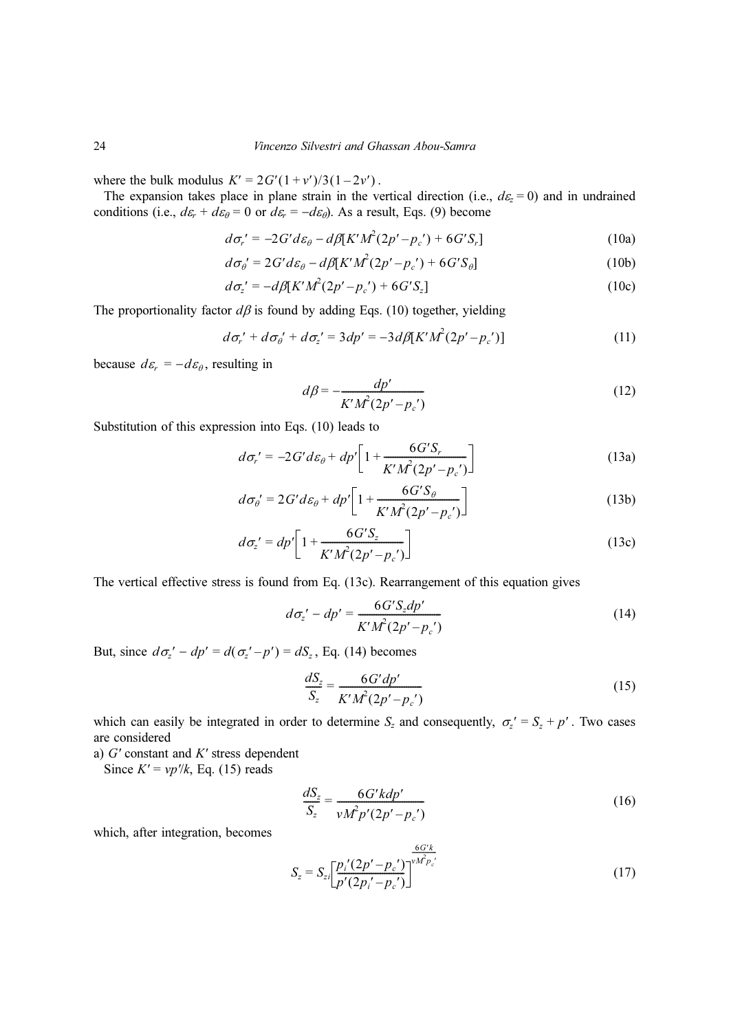where the bulk modulus  $K' = 2G'(1 + v')/3(1 - 2v')$ .

The expansion takes place in plane strain in the vertical direction (i.e.,  $d\varepsilon_z = 0$ ) and in undrained conditions (i.e.,  $d\varepsilon_r + d\varepsilon_\theta = 0$  or  $d\varepsilon_r = -d\varepsilon_\theta$ ). As a result, Eqs. (9) become

$$
d\sigma_r' = -2G'd\varepsilon_\theta - d\beta [K'M^2(2p'-p_c') + 6G'S_r]
$$
\n(10a)

$$
d\sigma_{\theta}^{\prime} = 2G'd\varepsilon_{\theta} - d\beta [K'M^{2}(2p'-p_{c}^{\prime}) + 6G'S_{\theta}]
$$
\n(10b)

$$
d\sigma_z' = -d\beta [K'M^2(2p'-p_c') + 6G'S_z]
$$
 (10c)

The proportionality factor  $d\beta$  is found by adding Eqs. (10) together, yielding

$$
d\sigma_r' + d\sigma_{\theta'}' + d\sigma_z' = 3dp' = -3d\beta[K'M^2(2p'-p_c')] \tag{11}
$$

because  $d\varepsilon_r = -d\varepsilon_\theta$ , resulting in

$$
d\beta = -\frac{dp'}{K'M^2(2p'-p_c')} \tag{12}
$$

Substitution of this expression into Eqs. (10) leads to

$$
d\sigma_r' = -2G'd\varepsilon_\theta + dp' \bigg[ 1 + \frac{6G'S_r}{K'M^2(2p'-p_c')} \bigg] \tag{13a}
$$

$$
d\sigma_{\theta}^{\prime} = 2G^{\prime}d\varepsilon_{\theta} + dp^{\prime} \left[ 1 + \frac{6G^{\prime}S_{\theta}}{K^{\prime}M^{2}(2p^{\prime} - p_{c}^{\prime})} \right]
$$
(13b)

$$
d\sigma_z' = dp' \bigg[ 1 + \frac{6G'S_z}{K'M^2(2p'-p_c')} \bigg] \tag{13c}
$$

The vertical effective stress is found from Eq. (13c). Rearrangement of this equation gives

$$
d\sigma_z' - dp' = \frac{6G'S_z dp'}{K'M^2(2p' - p_c')}
$$
 (14)

But, since  $d\sigma_z' - dp' = d(\sigma_z' - p') = dS_z$ , Eq. (14) becomes

$$
\frac{dS_z}{S_z} = \frac{6G'dp'}{K'M^2(2p'-p_c')}
$$
\n(15)

which can easily be integrated in order to determine  $S_z$  and consequently,  $\sigma_z' = S_z + p'$ . Two cases are considered

a)  $G'$  constant and  $K'$  stress dependent

Since  $K' = vp'/k$ , Eq. (15) reads

$$
\frac{dS_z}{S_z} = \frac{6G' kdp'}{vM^2 p'(2p'-p_c')}
$$
\n(16)

which, after integration, becomes

$$
S_z = S_{zi} \left[ \frac{p_i'(2p' - p_c')}{p'(2p_i' - p_c')} \right]^{\frac{6G'k}{\nu M_{p_c'}}}
$$
(17)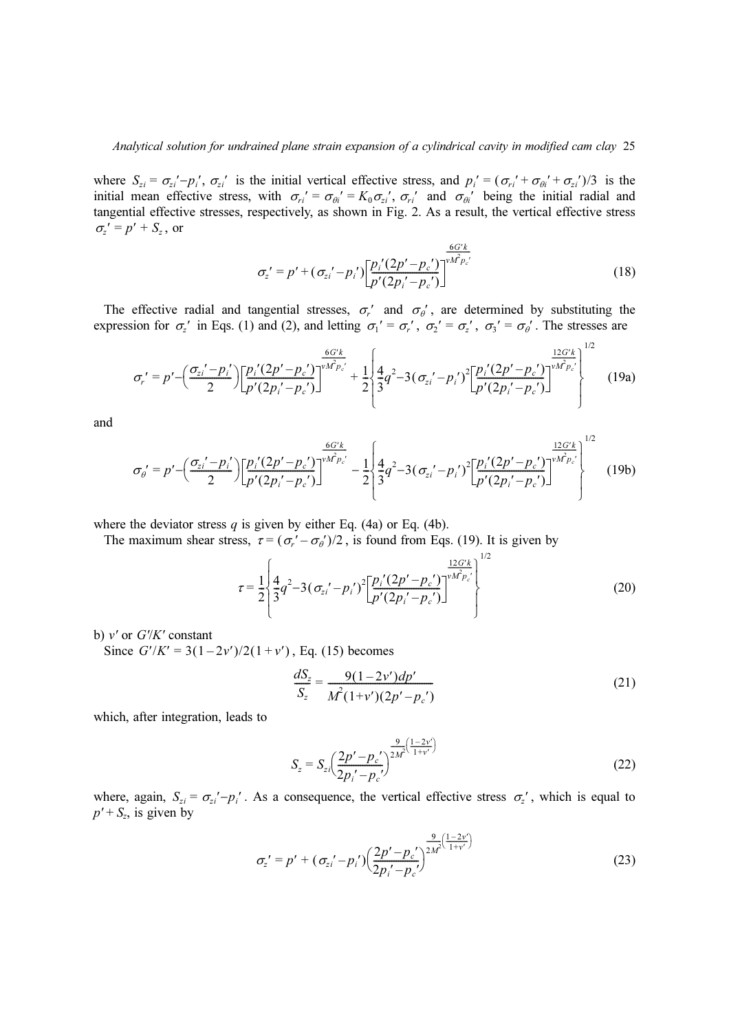where  $S_{zi} = \sigma_{zi} - p_i'$ ,  $\sigma_{zi'}$  is the initial vertical effective stress, and  $p_i' = (\sigma_{ri} + \sigma_{\theta i'} + \sigma_{zi'})/3$  is the initial mean effective stress, with  $\sigma_{ri}' = \sigma_{\theta i} = K_0 \sigma_{zi}$ ,  $\sigma_{ri}'$  and  $\sigma_{\theta i}'$  being the initial radial and tangential effective stresses, respectively, as shown in Fig. 2. As a result, the vertical effective stress  $\sigma_z' = p' + S_z$ , or  $\sigma_{ri}^{\prime} = \sigma_{\theta i}^{\prime} = K_0 \sigma_{zi}^{\prime}, \sigma_{ri}^{\prime}$  and  $\sigma_{\theta i}^{\prime}$ 

$$
\sigma_{z}' = p' + (\sigma_{zi}' - p_i') \left[ \frac{p_i'(2p' - p_c')}{p'(2p_i' - p_c')} \right]^{\frac{6G'k}{\nu M \cdot \rho_c'}} \tag{18}
$$

The effective radial and tangential stresses,  $\sigma_r'$  and  $\sigma_{\theta}$ , are determined by substituting the expression for  $\sigma_z'$  in Eqs. (1) and (2), and letting  $\sigma_1' = \sigma_r'$ ,  $\sigma_2' = \sigma_z'$ ,  $\sigma_3' = \sigma_\theta'$ . The stresses are

$$
\sigma_{r}^{\prime} = p^{\prime} - \left(\frac{\sigma_{zi}^{\prime} - p_i^{\prime}}{2}\right) \left[\frac{p_i^{\prime}(2p^{\prime} - p_c^{\prime})}{p^{\prime}(2p_i^{\prime} - p_c^{\prime})}\right]^{\frac{6G'k}{w^2 p_c^{\prime}}} + \frac{1}{2} \left\{\frac{4}{3}q^2 - 3(\sigma_{zi}^{\prime} - p_i^{\prime})^2 \left[\frac{p_i^{\prime}(2p^{\prime} - p_c^{\prime})}{p^{\prime}(2p_i^{\prime} - p_c^{\prime})}\right]^{\frac{12G'k}{w^2 p_c^{\prime}}} \right\}^{1/2}
$$
(19a)

and

$$
\sigma_{\theta}^{\prime} = p^{\prime} - \left(\frac{\sigma_{zi}^{\prime} - p_i^{\prime}}{2}\right) \left[\frac{p_i^{\prime}(2p^{\prime} - p_c^{\prime})}{p^{\prime}(2p_i^{\prime} - p_c^{\prime})}\right]^{\frac{6G'k}{W^2 p_c^{\prime}}} - \frac{1}{2} \left\{\frac{4}{3}q^2 - 3(\sigma_{zi}^{\prime} - p_i^{\prime})^2 \left[\frac{p_i^{\prime}(2p^{\prime} - p_c^{\prime})}{p^{\prime}(2p_i^{\prime} - p_c^{\prime})}\right]^{\frac{12G'k}{W^2 p_c^{\prime}}} \right\}^{1/2}
$$
(19b)

where the deviator stress  $q$  is given by either Eq. (4a) or Eq. (4b).

The maximum shear stress,  $\tau = (\sigma r' - \sigma \sigma) / 2$ , is found from Eqs. (19). It is given by

$$
\tau = \frac{1}{2} \left\{ \frac{4}{3} q^2 - 3 \left( \sigma_{zi}{}' - p_i{}' \right)^2 \left[ \frac{p_i{}'(2p' - p_c)}{p'(2p_i{}' - p_c)} \right]^{vM^2 p_c'} \right\}^{1/2}
$$
(20)

b) v' or  $G'/K'$  constant

Since  $G'/K' = 3(1-2v')/2(1+v')$ , Eq. (15) becomes

$$
\frac{dS_z}{S_z} = \frac{9(1-2v')dp'}{M^2(1+v')(2p'-p_c')}
$$
\n(21)

which, after integration, leads to

$$
S_z = S_{zi} \left( \frac{2p' - p_c'}{2p_i' - p_c'} \right)^{\frac{9}{2M^2} \left( \frac{1 - 2v'}{1 + v'} \right)}
$$
(22)

where, again,  $S_{zi} = \sigma_{zi} - p_i'$ . As a consequence, the vertical effective stress  $\sigma_z'$ , which is equal to  $p' + S_z$ , is given by

$$
\sigma_{z}' = p' + (\sigma_{zi}' - p_i') \left(\frac{2p' - p_c'}{2p_i' - p_c'}\right)^{\frac{9}{2M^2} \left(\frac{1-2v'}{1+v'}\right)}
$$
(23)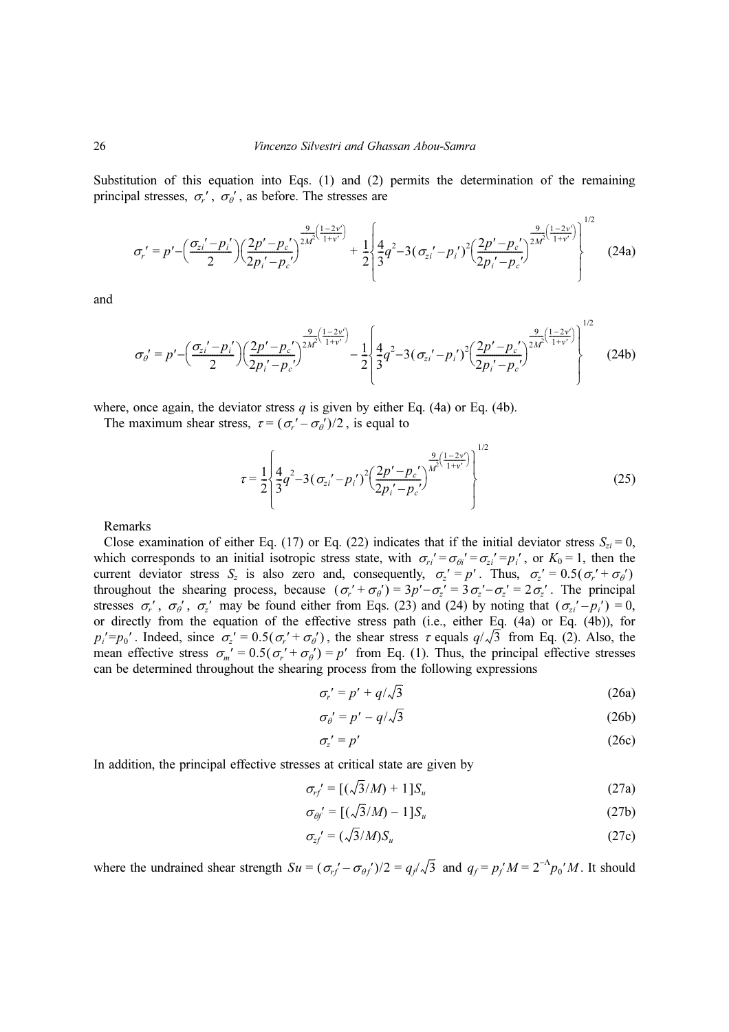Substitution of this equation into Eqs. (1) and (2) permits the determination of the remaining principal stresses,  $\sigma_r'$ ,  $\sigma_\theta'$ , as before. The stresses are

$$
\sigma_{r}^{\prime} = p^{\prime} - \left(\frac{\sigma_{zi}^{\prime} - p_i^{\prime}}{2}\right) \left(\frac{2p^{\prime} - p_c^{\prime}}{2p_i^{\prime} - p_c^{\prime}}\right)^{2M^2} + \frac{1}{2} \left\{\frac{4}{3}q^2 - 3(\sigma_{zi}^{\prime} - p_i^{\prime})^2 \left(\frac{2p^{\prime} - p_c^{\prime}}{2p_i^{\prime} - p_c^{\prime}}\right)^{2M^2} \left(\frac{1 - 2\nu^{\prime}}{1 + \nu^{\prime}}\right)\right\}^{1/2}
$$
(24a)

and

$$
\sigma_{\theta}^{\prime} = p^{\prime} - \left(\frac{\sigma_{zi}^{\prime} - p_i^{\prime}}{2}\right) \left(\frac{2p^{\prime} - p_c^{\prime}}{2p_i^{\prime} - p_c^{\prime}}\right)^{2M^2} \left(\frac{1 - 2v^{\prime}}{1 + v^{\prime}}\right) - \frac{1}{2} \left\{\frac{4}{3}q^2 - 3(\sigma_{zi}^{\prime} - p_i^{\prime})^2 \left(\frac{2p^{\prime} - p_c^{\prime}}{2p_i^{\prime} - p_c^{\prime}}\right)^{2M^2} \left(\frac{1 - 2v^{\prime}}{1 + v^{\prime}}\right)\right\}^{1/2}
$$
(24b)

where, once again, the deviator stress  $q$  is given by either Eq. (4a) or Eq. (4b).

The maximum shear stress,  $\tau = (\sigma_r' - \sigma_{\theta}')/2$ , is equal to

$$
\tau = \frac{1}{2} \left\{ \frac{4}{3} q^2 - 3(\sigma_{zi}' - p_i')^2 \left( \frac{2p' - p_c'}{2p_i' - p_c'} \right)^{\frac{9}{M^2} \left( \frac{1 - 2v'}{1 + v'} \right)} \right\}^{1/2}
$$
(25)

Remarks

Close examination of either Eq. (17) or Eq. (22) indicates that if the initial deviator stress  $S_{zi} = 0$ , which corresponds to an initial isotropic stress state, with  $\sigma_{ri}' = \sigma_{\theta i}' = \sigma_{zi}' = p_i'$ , or  $K_0 = 1$ , then the current deviator stress  $S_z$  is also zero and, consequently,  $\sigma_z' = p'$ . Thus,  $\sigma_z' = 0.5(\sigma_r' + \sigma_{\theta}')$ throughout the shearing process, because  $(\sigma_r' + \sigma_{\theta}') = 3p' - \sigma_z' = 3\sigma_z' - \sigma_z' = 2\sigma_z'$ . The principal stresses  $\sigma_r'$ ,  $\sigma_{\theta}$ ',  $\sigma_z'$  may be found either from Eqs. (23) and (24) by noting that  $(\sigma_{zi}' - p_i') = 0$ , or directly from the equation of the effective stress path (i.e., either Eq. (4a) or Eq. (4b)), for  $p_i' = p_0'$ . Indeed, since  $\sigma_z' = 0.5(\sigma_r' + \sigma_\theta')$ , the shear stress  $\tau$  equals  $q/\sqrt{3}$  from Eq. (2). Also, the mean effective stress  $\sigma_{m}^{\prime} = 0.5(\sigma_{r}^{\prime} + \sigma_{\theta}^{\prime}) = p^{\prime}$  from Eq. (1). Thus, the principal effective stresses can be determined throughout the shearing process from the following expressions

$$
\sigma_r' = p' + q/\sqrt{3} \tag{26a}
$$

$$
\sigma_{\theta}^{\prime} = p^{\prime} - q/\sqrt{3} \tag{26b}
$$

$$
\sigma_z' = p' \tag{26c}
$$

In addition, the principal effective stresses at critical state are given by

$$
\sigma_{rf}' = [(\sqrt{3}/M) + 1]S_u \tag{27a}
$$

$$
\sigma_{\theta'} = [(\sqrt{3}/M) - 1]S_u \tag{27b}
$$

$$
\sigma_{zf}^{\prime} = (\sqrt{3}/M)S_u \tag{27c}
$$

where the undrained shear strength  $Su = (\sigma_{rf}' - \sigma_{\theta f})/2 = q_f / \sqrt{3}$  and  $q_f = p_f' M = 2^{-\Lambda} p_0' M$ . It should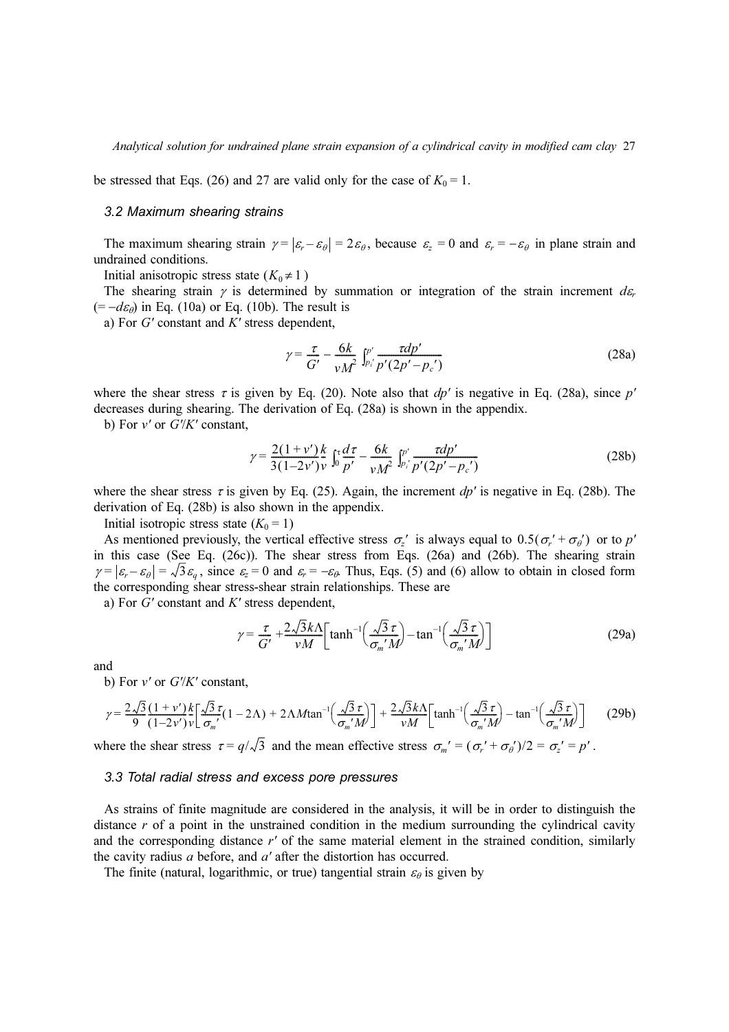be stressed that Eqs. (26) and 27 are valid only for the case of  $K_0 = 1$ .

## 3.2 Maximum shearing strains

The maximum shearing strain  $\gamma = |\varepsilon_r - \varepsilon_\theta| = 2\varepsilon_\theta$ , because  $\varepsilon_z = 0$  and  $\varepsilon_r = -\varepsilon_\theta$  in plane strain and undrained conditions.

Initial anisotropic stress state  $(K_0 \neq 1)$ 

The shearing strain  $\gamma$  is determined by summation or integration of the strain increment de- $(=-d\varepsilon_{\theta})$  in Eq. (10a) or Eq. (10b). The result is

a) For  $G'$  constant and  $K'$  stress dependent,

$$
\gamma = \frac{\tau}{G'} - \frac{6k}{vM^2} \int_{p_i'}^{p'} \frac{\tau dp'}{p'(2p' - p_c')}
$$
 (28a)

where the shear stress  $\tau$  is given by Eq. (20). Note also that  $dp'$  is negative in Eq. (28a), since  $p'$ decreases during shearing. The derivation of Eq. (28a) is shown in the appendix.

b) For  $v'$  or  $G'/K'$  constant,

$$
\gamma = \frac{2(1+v')k}{3(1-2v')v} \int_0^{\tau} \frac{d\tau}{p'} - \frac{6k}{vM^2} \int_{p'_i}^{p'} \frac{\tau dp'}{p'(2p'-p'_i)} \tag{28b}
$$

where the shear stress  $\tau$  is given by Eq. (25). Again, the increment dp' is negative in Eq. (28b). The derivation of Eq. (28b) is also shown in the appendix.

Initial isotropic stress state  $(K_0 = 1)$ 

As mentioned previously, the vertical effective stress  $\sigma_z'$  is always equal to  $0.5(\sigma_r' + \sigma_\theta')$  or to p' in this case (See Eq. (26c)). The shear stress from Eqs. (26a) and (26b). The shearing strain  $\gamma = |\varepsilon_r - \varepsilon_\theta| = \sqrt{3 \varepsilon_q}$ , since  $\varepsilon_z = 0$  and  $\varepsilon_r = -\varepsilon_\theta$ . Thus, Eqs. (5) and (6) allow to obtain in closed form the corresponding shear stress-shear strain relationships. These are

a) For  $G'$  constant and  $K'$  stress dependent,

$$
\gamma = \frac{\tau}{G'} + \frac{2\sqrt{3}k\Lambda}{\nu M} \left[ \tanh^{-1}\left(\frac{\sqrt{3}\,\tau}{\sigma_m'M}\right) - \tan^{-1}\left(\frac{\sqrt{3}\,\tau}{\sigma_m'M}\right) \right]
$$
(29a)

and

b) For  $v'$  or  $G'/K'$  constant,

$$
\gamma = \frac{2\sqrt{3}}{9} \frac{(1+\nu')}{(1-2\nu')} \frac{k}{\nu} \left[ \frac{\sqrt{3}\,\tau}{\sigma_{m'}} (1-2\Lambda) + 2\Lambda M \tan^{-1} \left( \frac{\sqrt{3}\,\tau}{\sigma_{m'} M} \right) \right] + \frac{2\sqrt{3}\,k\Lambda}{\nu M} \left[ \tanh^{-1} \left( \frac{\sqrt{3}\,\tau}{\sigma_{m'} M} \right) - \tan^{-1} \left( \frac{\sqrt{3}\,\tau}{\sigma_{m'} M} \right) \right] \tag{29b}
$$

where the shear stress  $\tau = q/\sqrt{3}$  and the mean effective stress  $\sigma_{m'} = (\sigma_{r'} + \sigma_{\theta'})/2 = \sigma_{z'} = p'$ .

## 3.3 Total radial stress and excess pore pressures

As strains of finite magnitude are considered in the analysis, it will be in order to distinguish the distance  $r$  of a point in the unstrained condition in the medium surrounding the cylindrical cavity and the corresponding distance r' of the same material element in the strained condition, similarly the cavity radius  $a$  before, and  $a'$  after the distortion has occurred.

The finite (natural, logarithmic, or true) tangential strain  $\varepsilon_{\theta}$  is given by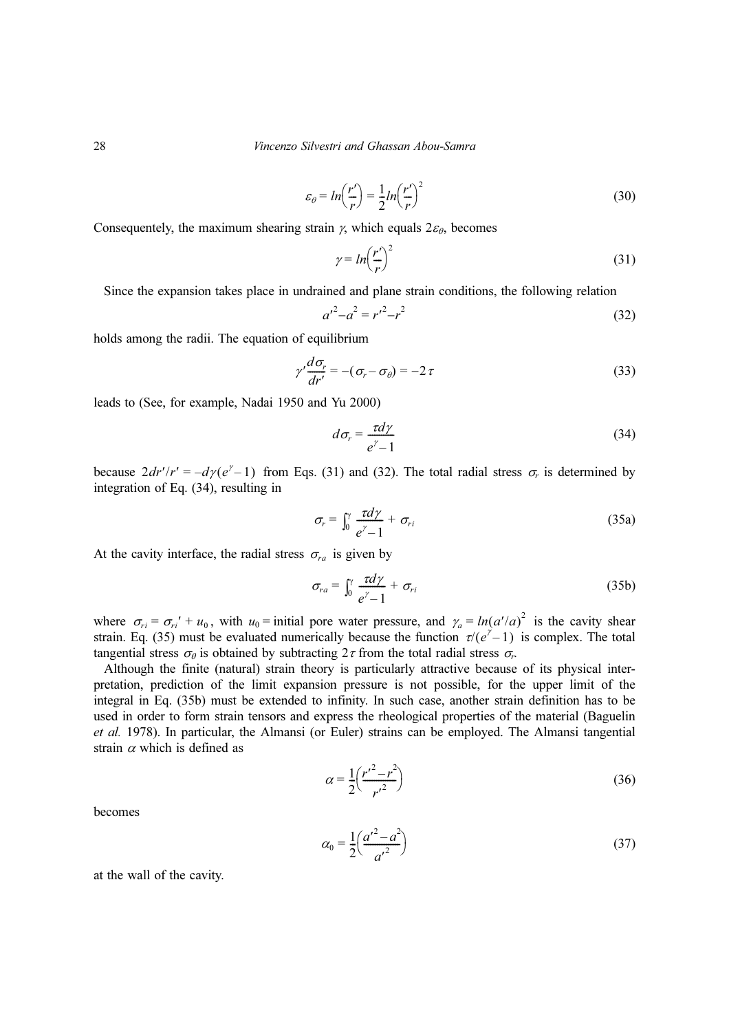$$
\varepsilon_{\theta} = \ln\left(\frac{r'}{r}\right) = \frac{1}{2}\ln\left(\frac{r'}{r}\right)^2\tag{30}
$$

Consequentely, the maximum shearing strain  $\gamma$ , which equals  $2\varepsilon_{\theta}$ , becomes

$$
\gamma = \ln\left(\frac{r'}{r}\right)^2\tag{31}
$$

Since the expansion takes place in undrained and plane strain conditions, the following relation

$$
a^{2} - a^{2} = r^{2} - r^{2}
$$
 (32)

holds among the radii. The equation of equilibrium

$$
\gamma' \frac{d\sigma_r}{dr'} = -(\sigma_r - \sigma_\theta) = -2\,\tau\tag{33}
$$

leads to (See, for example, Nadai 1950 and Yu 2000)

$$
d\sigma_r = \frac{\tau d\gamma}{e^{\gamma} - 1} \tag{34}
$$

because  $2dr'/r' = -d\gamma(e^{\gamma}-1)$  from Eqs. (31) and (32). The total radial stress  $\sigma_r$  is determined by integration of Eq. (34), resulting in

$$
\sigma_r = \int_0^r \frac{\tau d\gamma}{e^{\gamma} - 1} + \sigma_{ri} \tag{35a}
$$

At the cavity interface, the radial stress  $\sigma_{ra}$  is given by

$$
\sigma_{ra} = \int_0^r \frac{\tau d\gamma}{e^{\gamma} - 1} + \sigma_{ri} \tag{35b}
$$

where  $\sigma_{ri} = \sigma_{ri} + u_0$ , with  $u_0$  = initial pore water pressure, and  $\gamma_a = ln(a'/a)^2$  is the cavity shear strain. Eq. (35) must be evaluated numerically because the function  $\tau/(e^{7}-1)$  is complex. The total tangential stress  $\sigma_{\theta}$  is obtained by subtracting  $2\tau$  from the total radial stress  $\sigma_{r}$ .  $\sigma_{ri} = \sigma_{ri}' + u_0$ , with  $u_0$  = initial pore water pressure, and  $\gamma_a = ln(a'/a)^2$  $\tau/(e^{\gamma}-1)$ 

Although the finite (natural) strain theory is particularly attractive because of its physical interpretation, prediction of the limit expansion pressure is not possible, for the upper limit of the integral in Eq. (35b) must be extended to infinity. In such case, another strain definition has to be used in order to form strain tensors and express the rheological properties of the material (Baguelin et al. 1978). In particular, the Almansi (or Euler) strains can be employed. The Almansi tangential strain  $\alpha$  which is defined as

$$
\alpha = \frac{1}{2} \left( \frac{{r'}^2 - {r^2}}{r'} \right) \tag{36}
$$

becomes

$$
\alpha_0 = \frac{1}{2} \left( \frac{a'^2 - a^2}{a'^2} \right) \tag{37}
$$

at the wall of the cavity.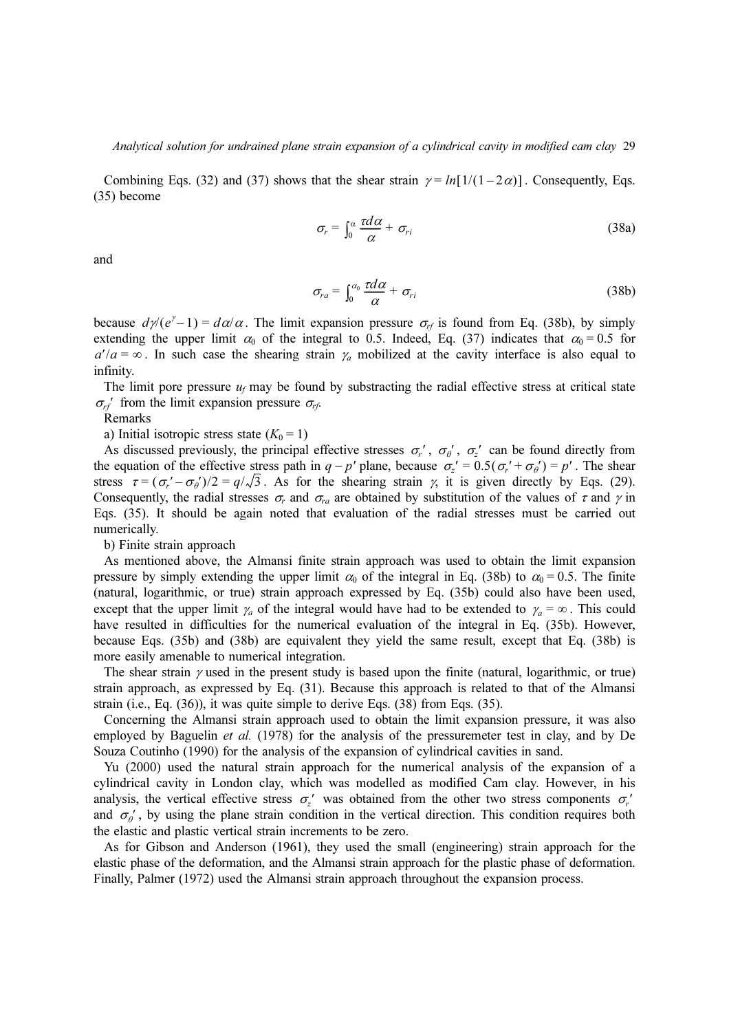Combining Eqs. (32) and (37) shows that the shear strain  $\gamma = ln[1/(1-2\alpha)]$ . Consequently, Eqs. (35) become

$$
\sigma_r = \int_0^\alpha \frac{\tau d\alpha}{\alpha} + \sigma_{ri} \tag{38a}
$$

and

$$
\sigma_{ra} = \int_0^{\alpha_0} \frac{r d\alpha}{\alpha} + \sigma_{ri} \tag{38b}
$$

because  $d\gamma(e^{\gamma}-1) = d\alpha/\alpha$ . The limit expansion pressure  $\sigma_{rf}$  is found from Eq. (38b), by simply extending the upper limit  $\alpha_0$  of the integral to 0.5. Indeed, Eq. (37) indicates that  $\alpha_0 = 0.5$  for  $a'/a = \infty$ . In such case the shearing strain  $\gamma_a$  mobilized at the cavity interface is also equal to infinity.

The limit pore pressure  $u_f$  may be found by substracting the radial effective stress at critical state  $\sigma_{rf}$ ' from the limit expansion pressure  $\sigma_{rf}$ .

Remarks

a) Initial isotropic stress state  $(K_0 = 1)$ 

As discussed previously, the principal effective stresses  $\sigma_r'$ ,  $\sigma_{\theta}$ ,  $\sigma_z'$  can be found directly from the equation of the effective stress path in  $q - p'$  plane, because  $\sigma_z' = 0.5(\sigma_r' + \sigma_{\theta}') = p'$ . The shear stress  $\tau = (\sigma_r' - \sigma_\theta')/2 = q/\sqrt{3}$ . As for the shearing strain  $\gamma$ , it is given directly by Eqs. (29). Consequently, the radial stresses  $\sigma_r$  and  $\sigma_{ra}$  are obtained by substitution of the values of  $\tau$  and  $\gamma$  in Eqs. (35). It should be again noted that evaluation of the radial stresses must be carried out numerically.  $\sigma_z' = 0.5(\sigma_r' + \sigma_\theta') = p'$  $\tau = (\sigma_r' - \sigma_\theta')/2 = q/\sqrt{3}$ 

b) Finite strain approach

As mentioned above, the Almansi finite strain approach was used to obtain the limit expansion pressure by simply extending the upper limit  $\alpha_0$  of the integral in Eq. (38b) to  $\alpha_0 = 0.5$ . The finite (natural, logarithmic, or true) strain approach expressed by Eq. (35b) could also have been used, except that the upper limit  $\gamma_a$  of the integral would have had to be extended to  $\gamma_a = \infty$ . This could have resulted in difficulties for the numerical evaluation of the integral in Eq. (35b). However, because Eqs. (35b) and (38b) are equivalent they yield the same result, except that Eq. (38b) is more easily amenable to numerical integration.

The shear strain  $\gamma$  used in the present study is based upon the finite (natural, logarithmic, or true) strain approach, as expressed by Eq. (31). Because this approach is related to that of the Almansi strain (i.e., Eq. (36)), it was quite simple to derive Eqs. (38) from Eqs. (35).

Concerning the Almansi strain approach used to obtain the limit expansion pressure, it was also employed by Baguelin *et al.* (1978) for the analysis of the pressuremeter test in clay, and by De Souza Coutinho (1990) for the analysis of the expansion of cylindrical cavities in sand.

Yu (2000) used the natural strain approach for the numerical analysis of the expansion of a cylindrical cavity in London clay, which was modelled as modified Cam clay. However, in his analysis, the vertical effective stress  $\sigma_z'$  was obtained from the other two stress components  $\sigma_r'$ and  $\sigma_{\theta}$ ', by using the plane strain condition in the vertical direction. This condition requires both the elastic and plastic vertical strain increments to be zero.

As for Gibson and Anderson (1961), they used the small (engineering) strain approach for the elastic phase of the deformation, and the Almansi strain approach for the plastic phase of deformation. Finally, Palmer (1972) used the Almansi strain approach throughout the expansion process.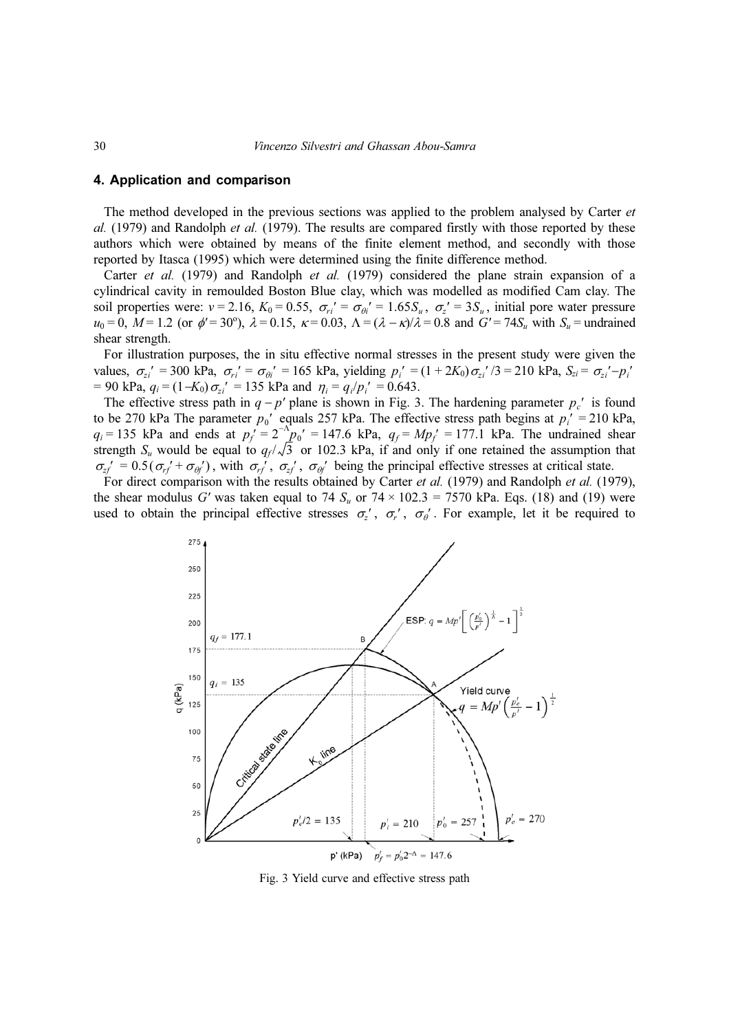## 4. Application and comparison

The method developed in the previous sections was applied to the problem analysed by Carter et al. (1979) and Randolph et al. (1979). The results are compared firstly with those reported by these authors which were obtained by means of the finite element method, and secondly with those reported by Itasca (1995) which were determined using the finite difference method.

Carter et al. (1979) and Randolph et al. (1979) considered the plane strain expansion of a cylindrical cavity in remoulded Boston Blue clay, which was modelled as modified Cam clay. The soil properties were:  $v = 2.16$ ,  $K_0 = 0.55$ ,  $\sigma_{ri} = \sigma_{\theta i} = 1.65 S_u$ ,  $\sigma_z = 3S_u$ , initial pore water pressure  $u_0 = 0$ ,  $M = 1.2$  (or  $\phi' = 30^{\circ}$ ),  $\lambda = 0.15$ ,  $\kappa = 0.03$ ,  $\Lambda = (\lambda - \kappa)/\lambda = 0.8$  and  $G' = 74S_u$  with  $S_u$  = undrained shear strength.  $\sigma_{ri}^{\prime} = \sigma_{\theta i}^{\prime} = 1.65 S_u, \ \sigma_z^{\prime} = 3 S_u$ 

For illustration purposes, the in situ effective normal stresses in the present study were given the values,  $\sigma_{zi'}$  = 300 kPa,  $\sigma_{ri'} = \sigma_{\theta i'}$  = 165 kPa, yielding  $p_i' = (1 + 2K_0)\sigma_{zi}/3 = 210$  kPa,  $S_{zi} = \sigma_{zi} - p_i'$ = 90 kPa,  $q_i = (1 - K_0) \sigma_{zi}$ ′ = 135 kPa and  $\eta_i = q_i/p_i' = 0.643$ .

The effective stress path in  $q - p'$  plane is shown in Fig. 3. The hardening parameter  $p_c'$  is found to be 270 kPa The parameter  $p_0'$  equals 257 kPa. The effective stress path begins at  $p_i' = 210$  kPa,  $q_i = 135$  kPa and ends at  $p_f' = 2^{-4} p_0' = 147.6$  kPa,  $q_f = M p_f' = 177.1$  kPa. The undrained shear strength  $S_u$  would be equal to  $q_f / \sqrt{3}$  or 102.3 kPa, if and only if one retained the assumption that  $\sigma_{zf}^{\prime} = 0.5 (\sigma_{rf}^{\prime} + \sigma_{\theta f}^{\prime})$ , with  $\sigma_{rf}^{\prime}$ ,  $\sigma_{zf}^{\prime}$ ,  $\sigma_{\theta f}^{\prime}$  being the principal effective stresses at critical state.  $p_0'$  equals 257 kPa. The effective stress path begins at  $p_i'$  $p_f' = 2^{-\Lambda} p_0' = 147.6 \text{ kPa}, q_f = M p_f'$ 

For direct comparison with the results obtained by Carter et al. (1979) and Randolph et al. (1979), the shear modulus G' was taken equal to 74  $S_u$  or 74  $\times$  102.3 = 7570 kPa. Eqs. (18) and (19) were used to obtain the principal effective stresses  $\sigma_z'$ ,  $\sigma_r'$ ,  $\sigma_{\theta}$ . For example, let it be required to



Fig. 3 Yield curve and effective stress path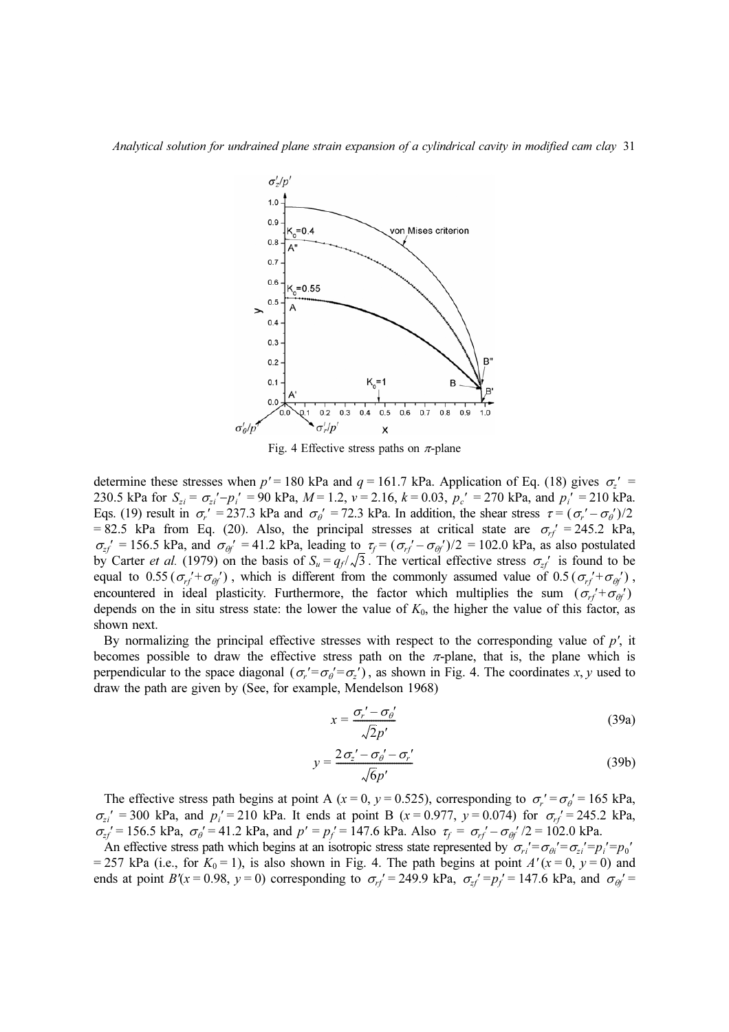

Fig. 4 Effective stress paths on  $\pi$ -plane

determine these stresses when  $p' = 180$  kPa and  $q = 161.7$  kPa. Application of Eq. (18) gives  $\sigma_z' =$ 230.5 kPa for  $S_{zi} = \sigma_{zi} - p_i' = 90$  kPa,  $M = 1.2$ ,  $v = 2.16$ ,  $k = 0.03$ ,  $p_c' = 270$  kPa, and  $p_i' = 210$  kPa. Eqs. (19) result in  $\sigma_r' = 237.3$  kPa and  $\sigma_{\theta} = 72.3$  kPa. In addition, the shear stress  $\tau = (\sigma_r' - \sigma_{\theta}')/2$ = 82.5 kPa from Eq. (20). Also, the principal stresses at critical state are  $\sigma_{rf}$  = 245.2 kPa,  $\sigma_{z}$ <sup>'</sup> = 156.5 kPa, and  $\sigma_{\theta}$ <sup>'</sup> = 41.2 kPa, leading to  $\tau_f = (\sigma_{rf}' - \sigma_{\theta}$ ')/2 = 102.0 kPa, as also postulated by Carter *et al.* (1979) on the basis of  $S_u = q_f / \sqrt{3}$ . The vertical effective stress  $\sigma_{zf}$  is found to be equal to  $0.55(\sigma_{rf} + \sigma_{\theta f})$ , which is different from the commonly assumed value of  $0.5(\sigma_{rf} + \sigma_{\theta f})$ , encountered in ideal plasticity. Furthermore, the factor which multiplies the sum  $(\sigma_{rf}^{\prime}+\sigma_{\theta f}^{\prime})$ depends on the in situ stress state: the lower the value of  $K_0$ , the higher the value of this factor, as shown next.

By normalizing the principal effective stresses with respect to the corresponding value of  $p'$ , it becomes possible to draw the effective stress path on the  $\pi$ -plane, that is, the plane which is perpendicular to the space diagonal  $(\sigma_r' = \sigma_{\theta}' = \sigma_z')$ , as shown in Fig. 4. The coordinates x, y used to draw the path are given by (See, for example, Mendelson 1968)

$$
x = \frac{\sigma_r' - \sigma_{\theta}'}{\sqrt{2}p'}\tag{39a}
$$

$$
y = \frac{2\sigma_z' - \sigma_{\theta} - \sigma_r'}{\sqrt{6}p'}
$$
 (39b)

The effective stress path begins at point A ( $x = 0$ ,  $y = 0.525$ ), corresponding to  $\sigma_r' = \sigma_\theta' = 165$  kPa,  $\sigma_{zi'}$  = 300 kPa, and  $p_i'$  = 210 kPa. It ends at point B (x = 0.977, y = 0.074) for  $\sigma_{rf'}$  = 245.2 kPa,  $\sigma_{zf}$ ' = 156.5 kPa,  $\sigma_{\theta}$ ' = 41.2 kPa, and  $p' = p_f'$  = 147.6 kPa. Also  $\tau_f = \sigma_{rf'} - \sigma_{\theta f}$ ' /2 = 102.0 kPa.

An effective stress path which begins at an isotropic stress state represented by  $\sigma_{ri}' = \sigma_{\theta i}' = \sigma_{zi}' = p_i' = p_0'$ = 257 kPa (i.e., for  $K_0 = 1$ ), is also shown in Fig. 4. The path begins at point  $A'(x = 0, y = 0)$  and ends at point  $B'(x = 0.98, y = 0)$  corresponding to  $\sigma_{rf}' = 249.9$  kPa,  $\sigma_{zf}' = p_f' = 147.6$  kPa, and  $\sigma_{\theta f}' =$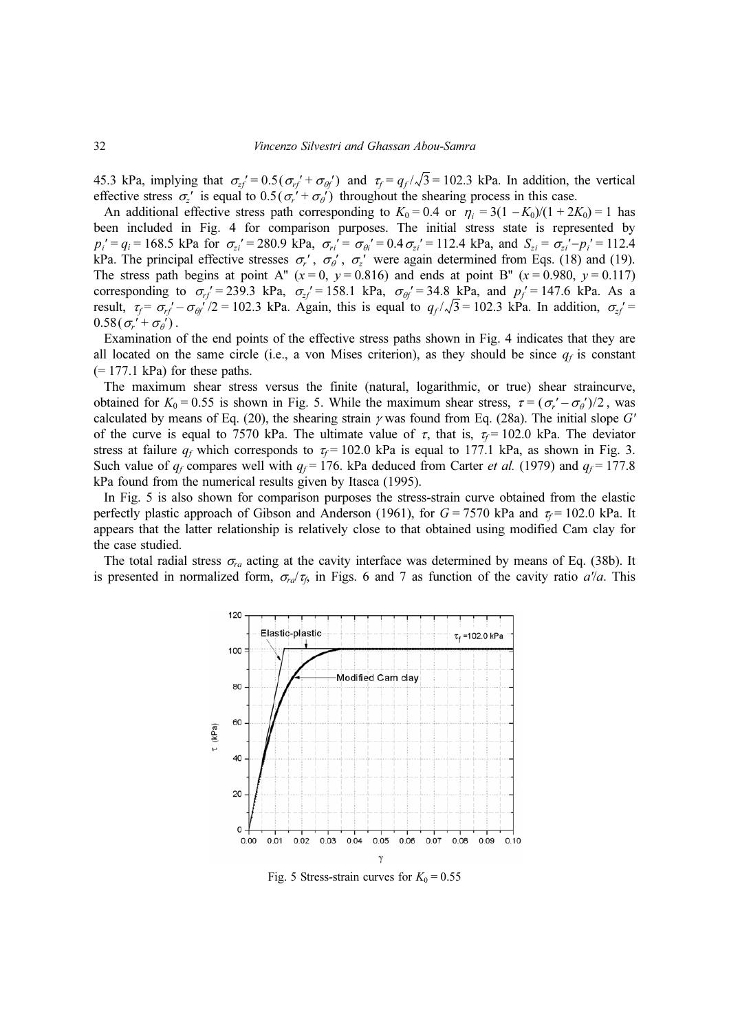45.3 kPa, implying that  $\sigma_{zf} = 0.5 (\sigma_{rf} + \sigma_{\theta f})$  and  $\tau_f = q_f / \sqrt{3} = 102.3$  kPa. In addition, the vertical effective stress  $\sigma_z'$  is equal to  $0.5(\sigma_r' + \sigma_{\theta}')$  throughout the shearing process in this case.

An additional effective stress path corresponding to  $K_0 = 0.4$  or  $\eta_i = 3(1 - K_0)/(1 + 2K_0) = 1$  has been included in Fig. 4 for comparison purposes. The initial stress state is represented by  $=q_i = 168.5$  kPa for  $\sigma_{zi} = 280.9$  kPa,  $\sigma_{ri} = \sigma_{\theta i} = 0.4 \sigma_{zi} = 112.4$  kPa, and  $S_{zi} = \sigma_{zi} - p_i = 112.4$ kPa. The principal effective stresses  $\sigma_r$ ,  $\sigma_{\theta}$ ,  $\sigma_z$  were again determined from Eqs. (18) and (19). The stress path begins at point A"  $(x=0, y=0.816)$  and ends at point B"  $(x=0.980, y=0.117)$ corresponding to  $\sigma_{rf} = 239.3$  kPa,  $\sigma_{zf} = 158.1$  kPa,  $\sigma_{\theta f} = 34.8$  kPa, and  $p'_f = 147.6$  kPa. As a result,  $\tau_f = \sigma_{rf} - \sigma_{\theta f}/2 = 102.3$  kPa. Again, this is equal to  $q_f/\sqrt{3} = 102.3$  kPa. In addition,  $\sigma_{zf} =$  $0.58(\sigma_{r}^{\prime}+\sigma_{\theta}^{\prime})$  .  $p_i' = q_i = 168.5$  kPa for  $\sigma_{zi'} = 280.9$  kPa,  $\sigma_{ri'} = \sigma_{\theta i'} = 0.4 \sigma_{zi'} = 112.4$  kPa, and  $S_{zi} = \sigma_{zi} - p_i'$  $\sigma_{\!\scriptscriptstyle r}^{\;\prime} \,,\,\, \sigma_{\!\scriptscriptstyle \theta}^{\;\prime} \,,\,\, \sigma_{\!\scriptscriptstyle z}^{\;\prime}$  $\sigma_{rf}'$  = 239.3 kPa,  $\sigma_{zf}'$  = 158.1 kPa,  $\sigma_{\theta f}'$  = 34.8 kPa, and  $p_{f}'$  $\tau_f = \sigma_{rf}' - \sigma_{\theta f}/2 = 102.3$  kPa. Again, this is equal to  $q_f/\sqrt{3} = 102.3$  kPa. In addition,  $\sigma_{zf}$ 

Examination of the end points of the effective stress paths shown in Fig. 4 indicates that they are all located on the same circle (i.e., a von Mises criterion), as they should be since  $q_f$  is constant  $(= 177.1 \text{ kPa})$  for these paths.

The maximum shear stress versus the finite (natural, logarithmic, or true) shear straincurve, obtained for  $K_0 = 0.55$  is shown in Fig. 5. While the maximum shear stress,  $\tau = (\sigma_r' - \sigma_\theta')/2$ , was calculated by means of Eq. (20), the shearing strain  $\gamma$  was found from Eq. (28a). The initial slope G' of the curve is equal to 7570 kPa. The ultimate value of  $\tau$ , that is,  $\tau_f = 102.0$  kPa. The deviator stress at failure  $q_f$  which corresponds to  $\tau_f = 102.0$  kPa is equal to 177.1 kPa, as shown in Fig. 3. Such value of  $q_f$  compares well with  $q_f = 176$ . kPa deduced from Carter *et al.* (1979) and  $q_f = 177.8$ kPa found from the numerical results given by Itasca (1995).

In Fig. 5 is also shown for comparison purposes the stress-strain curve obtained from the elastic perfectly plastic approach of Gibson and Anderson (1961), for  $G = 7570$  kPa and  $\tau_f = 102.0$  kPa. It appears that the latter relationship is relatively close to that obtained using modified Cam clay for the case studied.

The total radial stress  $\sigma_{ra}$  acting at the cavity interface was determined by means of Eq. (38b). It is presented in normalized form,  $\sigma_{rd}/\tau_f$ , in Figs. 6 and 7 as function of the cavity ratio  $a'/a$ . This



Fig. 5 Stress-strain curves for  $K_0 = 0.55$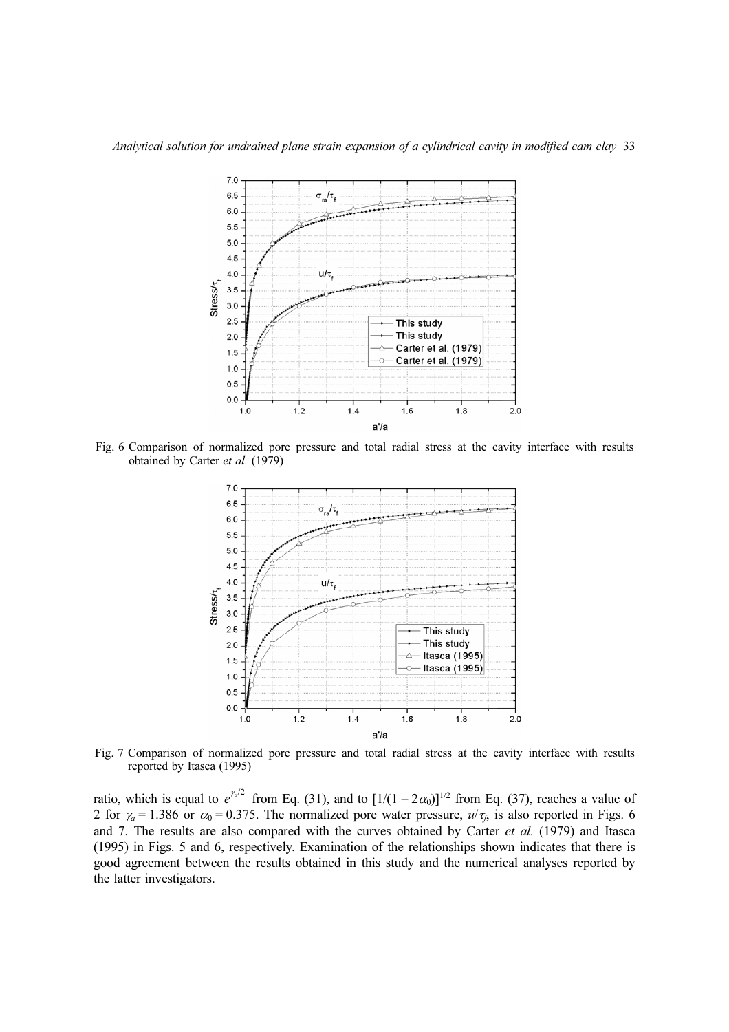Analytical solution for undrained plane strain expansion of a cylindrical cavity in modified cam clay 33



Fig. 6 Comparison of normalized pore pressure and total radial stress at the cavity interface with results obtained by Carter et al. (1979)



Fig. 7 Comparison of normalized pore pressure and total radial stress at the cavity interface with results reported by Itasca (1995)

ratio, which is equal to  $e^{\gamma_a/2}$  from Eq. (31), and to  $[1/(1-2\alpha_0)]^{1/2}$  from Eq. (37), reaches a value of 2 for  $\gamma_a = 1.386$  or  $\alpha_0 = 0.375$ . The normalized pore water pressure,  $u/\tau_f$ , is also reported in Figs. 6 and 7. The results are also compared with the curves obtained by Carter et al. (1979) and Itasca (1995) in Figs. 5 and 6, respectively. Examination of the relationships shown indicates that there is good agreement between the results obtained in this study and the numerical analyses reported by the latter investigators.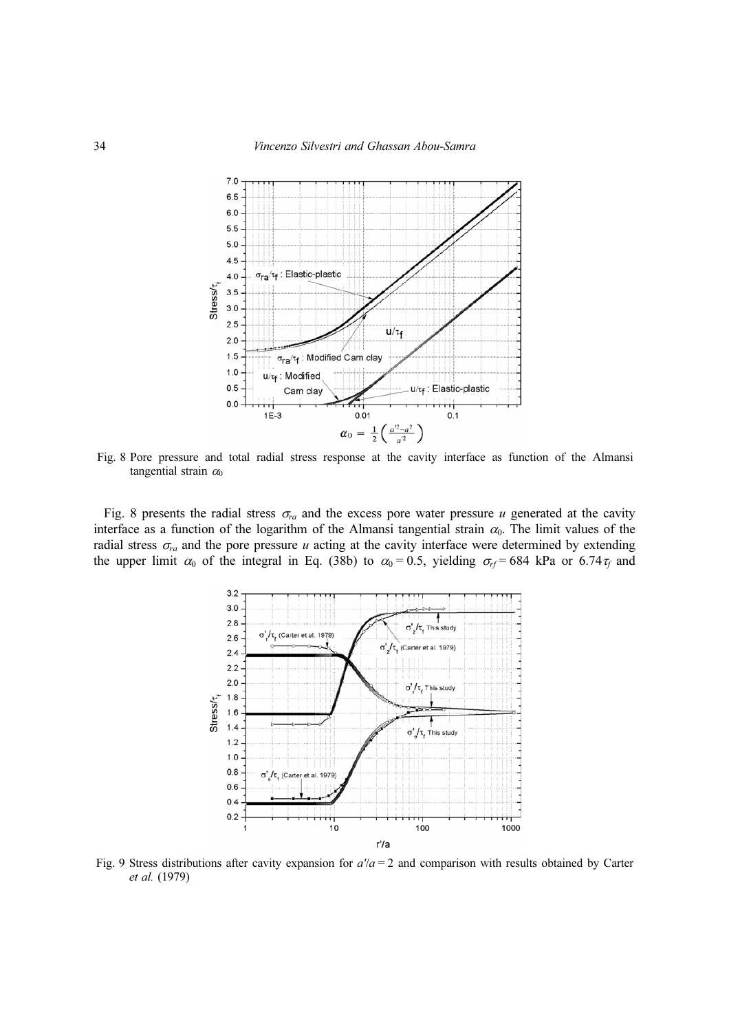

Fig. 8 Pore pressure and total radial stress response at the cavity interface as function of the Almansi tangential strain  $\alpha_0$ 

Fig. 8 presents the radial stress  $\sigma_{ra}$  and the excess pore water pressure u generated at the cavity interface as a function of the logarithm of the Almansi tangential strain  $\alpha_0$ . The limit values of the radial stress  $\sigma_{ra}$  and the pore pressure u acting at the cavity interface were determined by extending the upper limit  $\alpha_0$  of the integral in Eq. (38b) to  $\alpha_0 = 0.5$ , yielding  $\sigma_{rf} = 684$  kPa or 6.74 $\tau_f$  and



Fig. 9 Stress distributions after cavity expansion for  $a/a = 2$  and comparison with results obtained by Carter et al. (1979)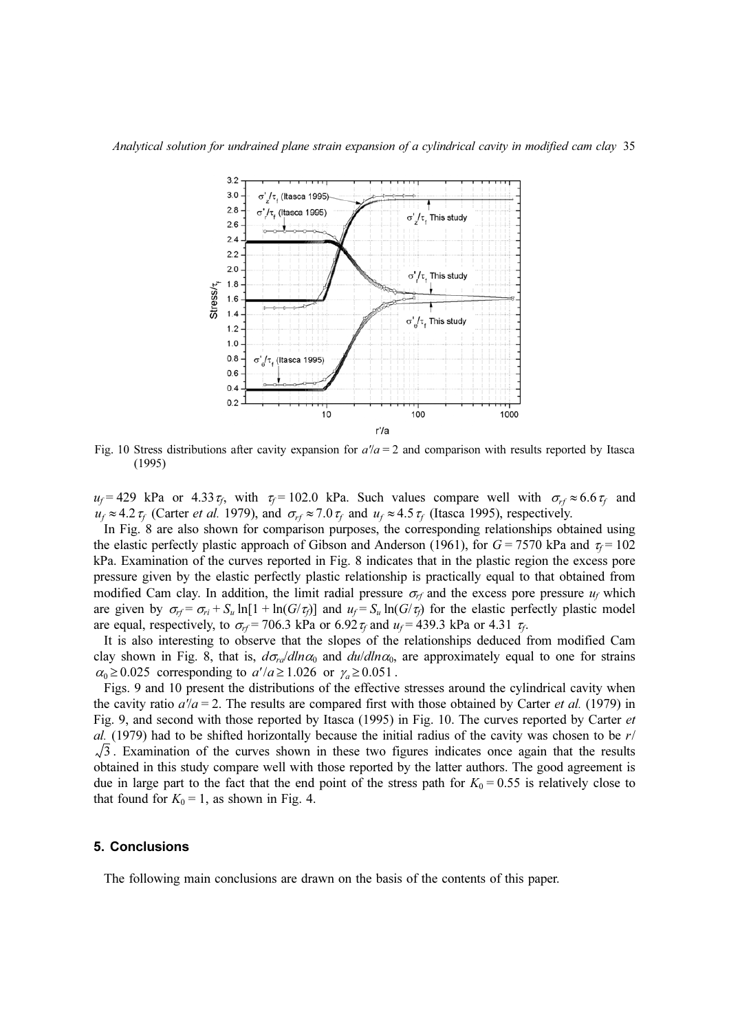

Fig. 10 Stress distributions after cavity expansion for  $a/a = 2$  and comparison with results reported by Itasca (1995)

 $u_f$  = 429 kPa or 4.33 $\tau_f$ , with  $\tau_f$  = 102.0 kPa. Such values compare well with  $\sigma_{rf} \approx 6.6 \tau_f$  and  $u_f \approx 4.2 \tau_f$  (Carter *et al.* 1979), and  $\sigma_{rf} \approx 7.0 \tau_f$  and  $u_f \approx 4.5 \tau_f$  (Itasca 1995), respectively.

In Fig. 8 are also shown for comparison purposes, the corresponding relationships obtained using the elastic perfectly plastic approach of Gibson and Anderson (1961), for  $G = 7570$  kPa and  $\tau_f = 102$ kPa. Examination of the curves reported in Fig. 8 indicates that in the plastic region the excess pore pressure given by the elastic perfectly plastic relationship is practically equal to that obtained from modified Cam clay. In addition, the limit radial pressure  $\sigma_{rf}$  and the excess pore pressure  $u_f$  which are given by  $\sigma_{rf} = \sigma_{ri} + S_u \ln[1 + \ln(G/\tau_f)]$  and  $u_f = S_u \ln(G/\tau_f)$  for the elastic perfectly plastic model are equal, respectively, to  $\sigma_{rf} = 706.3$  kPa or  $6.92 \tau_f$  and  $u_f = 439.3$  kPa or 4.31  $\tau_f$ .

It is also interesting to observe that the slopes of the relationships deduced from modified Cam clay shown in Fig. 8, that is,  $d\sigma_{rd}/dln\alpha_0$  and  $du/dln\alpha_0$ , are approximately equal to one for strains  $\alpha_0 \ge 0.025$  corresponding to  $a'/a \ge 1.026$  or  $\gamma_a \ge 0.051$ .

Figs. 9 and 10 present the distributions of the effective stresses around the cylindrical cavity when the cavity ratio  $a/a = 2$ . The results are compared first with those obtained by Carter *et al.* (1979) in Fig. 9, and second with those reported by Itasca (1995) in Fig. 10. The curves reported by Carter et al. (1979) had to be shifted horizontally because the initial radius of the cavity was chosen to be  $r/$ . Examination of the curves shown in these two figures indicates once again that the results 3 obtained in this study compare well with those reported by the latter authors. The good agreement is due in large part to the fact that the end point of the stress path for  $K_0 = 0.55$  is relatively close to that found for  $K_0 = 1$ , as shown in Fig. 4.

## 5. Conclusions

The following main conclusions are drawn on the basis of the contents of this paper.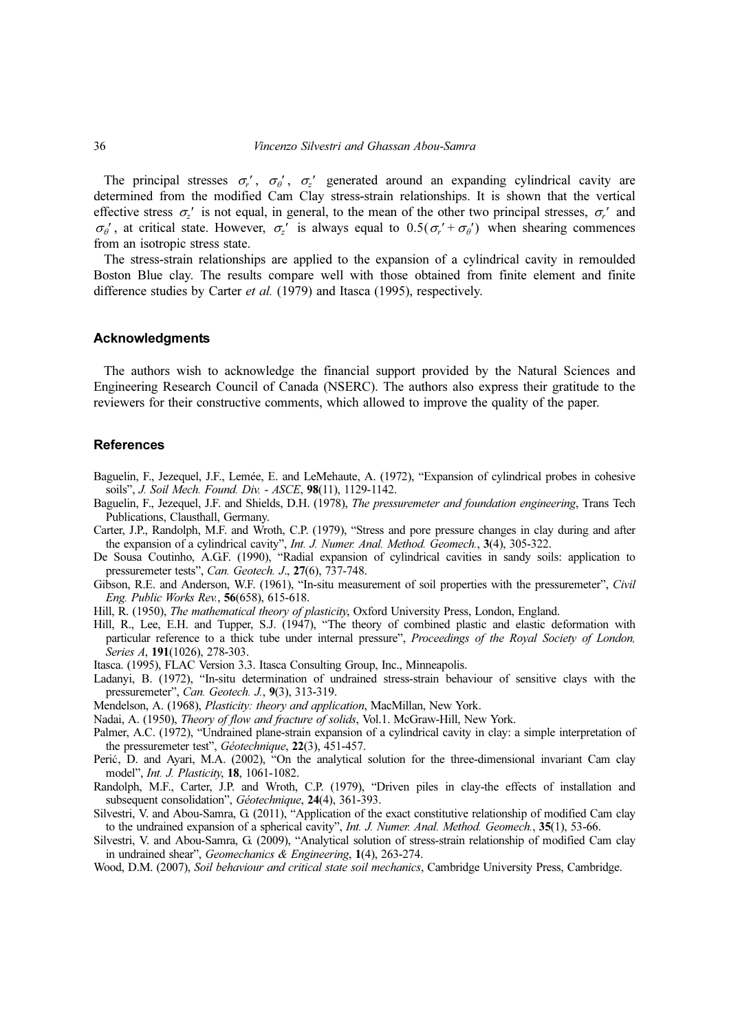The principal stresses  $\sigma_r'$ ,  $\sigma_{\theta}$ ,  $\sigma_z'$  generated around an expanding cylindrical cavity are determined from the modified Cam Clay stress-strain relationships. It is shown that the vertical effective stress  $\sigma_z'$  is not equal, in general, to the mean of the other two principal stresses,  $\sigma_r'$  and  $\sigma_{\theta}$ ', at critical state. However,  $\sigma_{z}$ ' is always equal to  $0.5(\sigma_{r} + \sigma_{\theta})$  when shearing commences from an isotropic stress state.

The stress-strain relationships are applied to the expansion of a cylindrical cavity in remoulded Boston Blue clay. The results compare well with those obtained from finite element and finite difference studies by Carter *et al.* (1979) and Itasca (1995), respectively.

## Acknowledgments

The authors wish to acknowledge the financial support provided by the Natural Sciences and Engineering Research Council of Canada (NSERC). The authors also express their gratitude to the reviewers for their constructive comments, which allowed to improve the quality of the paper.

## References

- Baguelin, F., Jezequel, J.F., Lemée, E. and LeMehaute, A. (1972), "Expansion of cylindrical probes in cohesive soils", J. Soil Mech. Found. Div. - ASCE, 98(11), 1129-1142.
- Baguelin, F., Jezequel, J.F. and Shields, D.H. (1978), The pressuremeter and foundation engineering, Trans Tech Publications, Clausthall, Germany.
- Carter, J.P., Randolph, M.F. and Wroth, C.P. (1979), "Stress and pore pressure changes in clay during and after the expansion of a cylindrical cavity", Int. J. Numer. Anal. Method. Geomech., 3(4), 305-322.
- De Sousa Coutinho, A.G.F. (1990), "Radial expansion of cylindrical cavities in sandy soils: application to pressuremeter tests", Can. Geotech. J., 27(6), 737-748.
- Gibson, R.E. and Anderson, W.F. (1961), "In-situ measurement of soil properties with the pressuremeter", *Civil* Eng. Public Works Rev., 56(658), 615-618.
- Hill, R. (1950), The mathematical theory of plasticity, Oxford University Press, London, England.
- Hill, R., Lee, E.H. and Tupper, S.J. (1947), "The theory of combined plastic and elastic deformation with particular reference to a thick tube under internal pressure", Proceedings of the Royal Society of London, Series A, **191**(1026), 278-303.
- Itasca. (1995), FLAC Version 3.3. Itasca Consulting Group, Inc., Minneapolis.
- Ladanyi, B. (1972), "In-situ determination of undrained stress-strain behaviour of sensitive clays with the pressuremeter", Can. Geotech. J., 9(3), 313-319.
- Mendelson, A. (1968), Plasticity: theory and application, MacMillan, New York.
- Nadai, A. (1950), Theory of flow and fracture of solids, Vol.1. McGraw-Hill, New York.
- Palmer, A.C. (1972), "Undrained plane-strain expansion of a cylindrical cavity in clay: a simple interpretation of the pressuremeter test", Géotechnique, 22(3), 451-457.
- Perić, D. and Ayari, M.A. (2002), "On the analytical solution for the three-dimensional invariant Cam clay model", Int. J. Plasticity, 18, 1061-1082.
- Randolph, M.F., Carter, J.P. and Wroth, C.P. (1979), "Driven piles in clay-the effects of installation and subsequent consolidation", Géotechnique, 24(4), 361-393.
- Silvestri, V. and Abou-Samra, G. (2011), "Application of the exact constitutive relationship of modified Cam clay to the undrained expansion of a spherical cavity", *Int. J. Numer. Anal. Method. Geomech.*, 35(1), 53-66.
- Silvestri, V. and Abou-Samra, G. (2009), "Analytical solution of stress-strain relationship of modified Cam clay in undrained shear", Geomechanics & Engineering, 1(4), 263-274.
- Wood, D.M. (2007), Soil behaviour and critical state soil mechanics, Cambridge University Press, Cambridge.